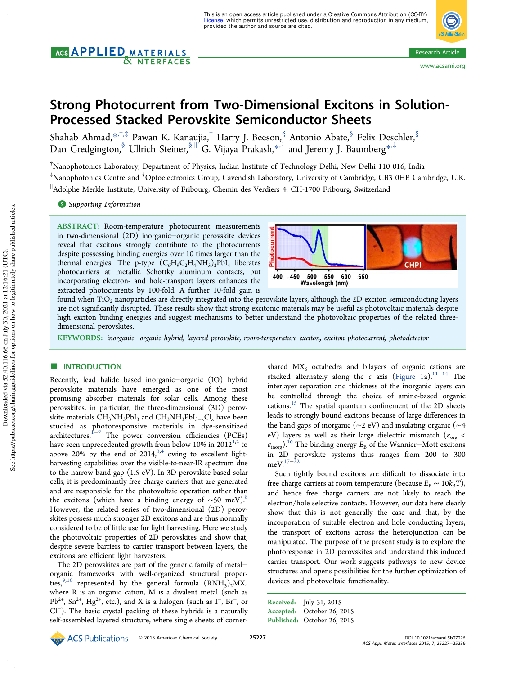# AGS **APPLIED** MATERIALS **NINTERFACES**



# Strong Photocurrent from Two-Dimensional Excitons in Solution-Processed Stacked Perovskite Semiconductor Sheets

Shahab Ahmad, $^{*,\dagger,\ddagger}$  Pawan K. Kanaujia, $^\dagger$  Harry J. Beeson, $^{\S}_{,}$  Antonio Abate, $^{\S}$  Felix Deschler, $^{\S}$ Dan Credgington,<sup>§</sup> Ullrich Steiner,<sup>§,∥′</sup>G. Vijaya Prakash,<sup>∗,†</sup> and Jeremy J. Baumberg<sup>∗,‡</sup>

 $^{\dagger}$ Nanophotonics Laboratory, Department of Physics, Indian Institute of Technology Delhi, New Delhi 110 016, India ‡Nanophotonics Centre and §Optoelectronics Group, Cavendish Laboratory, University of Cambridge, CB3 0HE Cambridge, U.K. ∥ Adolphe Merkle Institute, University of Fribourg, Chemin des Verdiers 4, CH-1700 Fribourg, Switzerland

**S** Supporting Information

ABSTRACT: Room-temperature photocurrent measurements in two-dimensional (2D) inorganic−organic perovskite devices reveal that excitons strongly contribute to the photocurrents despite possessing binding energies over 10 times larger than the thermal energies. The p-type  $(C_6H_9C_2H_4NH_3)_2PbI_4$  liberates photocarriers at metallic Schottky aluminum contacts, but incorporating electron- and hole-transport layers enhances the extracted photocurrents by 100-fold. A further 10-fold gain is



found when  $TiO<sub>2</sub>$  nanoparticles are directly integrated into the perovskite layers, although the 2D exciton semiconducting layers are not significantly disrupted. These results show that strong excitonic materials may be useful as photovoltaic materials despite high exciton binding energies and suggest mechanisms to better understand the photovoltaic properties of the related threedimensional perovskites.

KEYWORDS: *inorganic*−*organic hybrid, layered perovskite, room-temperature exciton, exciton photocurrent, photodetector*

## **ENTRODUCTION**

Recently, lead halide based inorganic−organic (IO) hybrid perovskite materials have emerged as one of the most promising absorber materials for solar cells. Among these perovskites, in particular, the three-dimensional (3D) perovskite materials  $\text{CH}_{3}\text{NH}_{3}\text{PbI}_{3}$  and  $\text{CH}_{3}\text{NH}_{3}\text{PbI}_{3-x}\text{Cl}_{x}$  have been studied as photoresponsive materials in dye-sensitized architectures.<sup>1−7</sup> The power conversion efficiencies (PCEs) have seen unprecedented growth from below 10% in 2012 $^{\rm 1,2}$  to above 20% by the end of  $2014$ ,<sup>3,4</sup> owing to excellent lightharvesting capabilities over the visible-to-near-IR spectrum due to the narrow band gap (1.5 eV). In 3D perovskite-based solar cells, it is predominantly free charge carriers that are generated and are responsible for the photovoltaic operation rather than the excitons (which have a binding energy of ~50 meV).<sup>8</sup> However, the related series of two-dimensional (2D) perovskites possess much stronger 2D excitons and are thus normally considered to be of little use for light harvesting. Here we study the photovoltaic properties of 2D perovskites and show that, despite severe barriers to carrier transport between layers, the excitons are efficient light harvesters.

The 2D perovskites are part of the generic family of metal− organic frameworks with well-organized structural properties,<sup>9,10</sup> represented by the general formula  $(RNH<sub>3</sub>)<sub>2</sub>MX<sub>4</sub>$ where R is an organic cation, M is a divalent metal (such as Pb<sup>2+</sup>, Sn<sup>2+</sup>, Hg<sup>2+</sup>, etc.), and X is a halogen (such as  $\Gamma$ , Br<sup>-</sup>, or Cl<sup>−</sup> ). The basic crystal packing of these hybrids is a naturally self-assembled layered structure, where single sheets of corner-

shared  $MX<sub>6</sub>$  octahedra and bilayers of organic cations are stacked alternately along the *c* axis (Figure 1a).<sup>11−14</sup> The interlayer separation and thickness of the inorganic layers can be controlled through the choice of amine-based organic cations.<sup>15</sup> The spatial quantum confinement of the 2D sheets leads to strongly bound excitons because of large differences in the band gaps of inorganic (∼2 eV) and insulating organic (∼4 eV) layers as well as their large dielectric mismatch ( $\epsilon_{\text{org}}$  <  $\varepsilon_{\text{inorg}}$ ).<sup>16</sup> The binding energy  $E_{\text{B}}$  of the Wannier–Mott excitons in 2D perovskite systems thus ranges from 200 to 300  $meV.<sup>17−22</sup>$ 

Such tightly bound excitons are difficult to dissociate into free charge carriers at room temperature (because  $E_B \sim 10k_BT$ ), and hence free charge carriers are not likely to reach the electron/hole selective contacts. However, our data here clearly show that this is not generally the case and that, by the incorporation of suitable electron and hole conducting layers, the transport of excitons across the heterojunction can be manipulated. The purpose of the present study is to explore the photoresponse in 2D perovskites and understand this induced carrier transport. Our work suggests pathways to new device structures and opens possibilities for the further optimization of devices and photovoltaic functionality.

Received: July 31, 2015 Accepted: October 26, 2015 Published: October 26, 2015

ECS Publications © 2015 American Chemical Society 25227 DOI: 10.1021/acsami.5b07026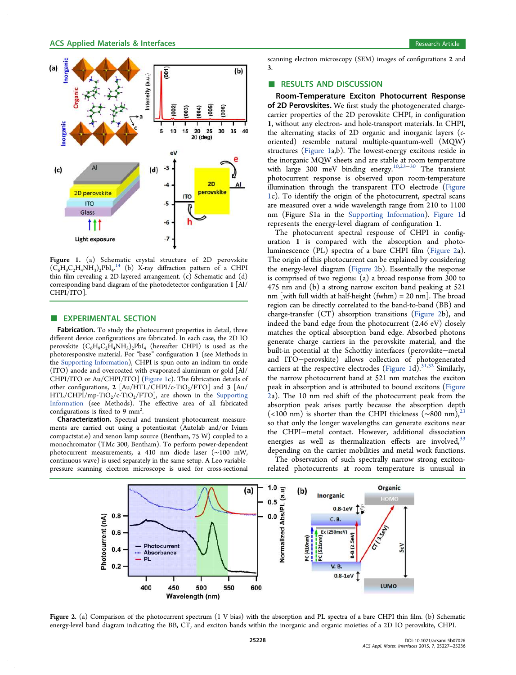

Figure 1. (a) Schematic crystal structure of 2D perovskite  $(\tilde{C}_6H_9C_2H_4NH_3)_2PbI_4$ .<sup>14</sup> (b) X-ray diffraction pattern of a CHPI . thin film revealing a 2D-layered arrangement. (c) Schematic and (d) corresponding band diagram of the photodetector configuration 1 [Al/ CHPI/ITO].

#### **EXPERIMENTAL SECTION**

Fabrication. To study the photocurrent properties in detail, three different device configurations are fabricated. In each case, the 2D IO perovskite  $(C_6H_9C_2H_4NH_3)_2PbI_4$  (hereafter CHPI) is used as the photoresponsive material. For "base" configuration 1 (see Methods in the Supporting Information), CHPI is spun onto an indium tin oxide (ITO) anode and overcoated with evaporated aluminum or gold [Al/ CHPI/ITO or Au/CHPI/ITO] (Figure 1c). The fabrication details of other configurations, 2  $[Au/HTL/CHPI/c-TiO<sub>2</sub>/FTO]$  and 3  $[Au/$  $HTL/CHPI/mp-TiO<sub>2</sub>/c-TiO<sub>2</sub>/FTO$ ], are shown in the Supporting Information (see Methods). The effective area of all fabricated configurations is fixed to 9  $mm<sup>2</sup>$ . .

Characterization. Spectral and transient photocurrent measurements are carried out using a potentiostat (Autolab and/or Ivium compactstat.e) and xenon lamp source (Bentham, 75 W) coupled to a monochromator (TMc 300, Bentham). To perform power-dependent photocurrent measurements, a 410 nm diode laser (∼100 mW, continuous wave) is used separately in the same setup. A Leo variablepressure scanning electron microscope is used for cross-sectional

scanning electron microscopy (SEM) images of configurations 2 and 3.

#### ■ RESULTS AND DISCUSSION

Room-Temperature Exciton Photocurrent Response of 2D Perovskites. We first study the photogenerated chargecarrier properties of the 2D perovskite CHPI, in configuration 1, without any electron- and hole-transport materials. In CHPI, the alternating stacks of 2D organic and inorganic layers (*c*oriented) resemble natural multiple-quantum-well (MQW) structures (Figure 1a,b). The lowest-energy excitons reside in the inorganic MQW sheets and are stable at room temperature with large 300 meV binding energy.<sup>10,23–30</sup> The transient photocurrent response is observed upon room-temperature illumination through the transparent ITO electrode (Figure 1c). To identify the origin of the photocurrent, spectral scans are measured over a wide wavelength range from 210 to 1100 nm (Figure S1a in the Supporting Information). Figure 1d represents the energy-level diagram of configuration 1.

The photocurrent spectral response of CHPI in configuration 1 is compared with the absorption and photoluminescence (PL) spectra of a bare CHPI film (Figure 2a). The origin of this photocurrent can be explained by considering the energy-level diagram (Figure 2b). Essentially the response is comprised of two regions: (a) a broad response from 300 to 475 nm and (b) a strong narrow exciton band peaking at 521 nm [with full width at half-height  $(fwhm) = 20$  nm]. The broad region can be directly correlated to the band-to-band (BB) and charge-transfer (CT) absorption transitions (Figure 2b), and indeed the band edge from the photocurrent (2.46 eV) closely matches the optical absorption band edge. Absorbed photons generate charge carriers in the perovskite material, and the built-in potential at the Schottky interfaces (perovskite−metal and ITO−perovskite) allows collection of photogenerated carriers at the respective electrodes (Figure 1d).<sup>31,32</sup> Similarly, the narrow photocurrent band at 521 nm matches the exciton peak in absorption and is attributed to bound excitons (Figure 2a). The 10 nm red shift of the photocurrent peak from the absorption peak arises partly because the absorption depth (<100 nm) is shorter than the CHPI thickness ( $\sim$ 800 nm),<sup>23</sup> so that only the longer wavelengths can generate excitons near the CHPI−metal contact. However, additional dissociation energies as well as thermalization effects are involved,  $33$ depending on the carrier mobilities and metal work functions.

The observation of such spectrally narrow strong excitonrelated photocurrents at room temperature is unusual in



Figure 2. (a) Comparison of the photocurrent spectrum (1 V bias) with the absorption and PL spectra of a bare CHPI thin film. (b) Schematic energy-level band diagram indicating the BB, CT, and exciton bands within the inorganic and organic moieties of a 2D IO perovskite, CHPI.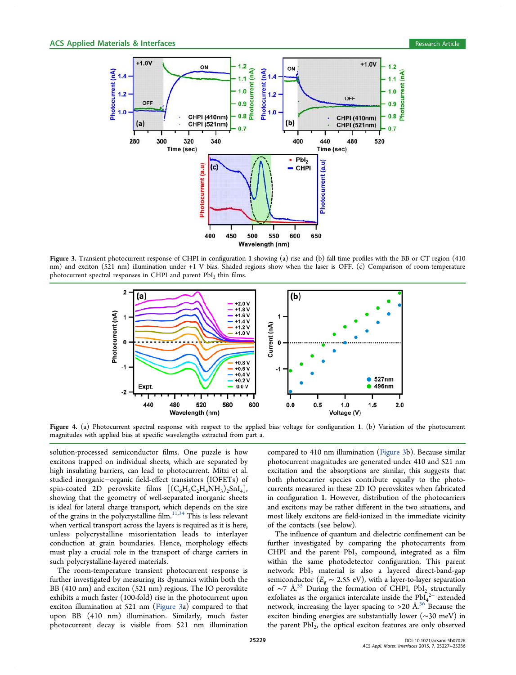

Figure 3. Transient photocurrent response of CHPI in configuration 1 showing (a) rise and (b) fall time profiles with the BB or CT region (410 nm) and exciton (521 nm) illumination under +1 V bias. Shaded regions show when the laser is OFF. (c) Comparison of room-temperature photocurrent spectral responses in CHPI and parent  $PbI_2$  thin films.



Figure 4. (a) Photocurrent spectral response with respect to the applied bias voltage for configuration 1. (b) Variation of the photocurrent magnitudes with applied bias at specific wavelengths extracted from part a.

solution-processed semiconductor films. One puzzle is how excitons trapped on individual sheets, which are separated by high insulating barriers, can lead to photocurrent. Mitzi et al. studied inorganic−organic field-effect transistors (IOFETs) of spin-coated 2D perovskite films  $[(C_6H_5C_2H_4NH_3)_2SnI_4]$ , showing that the geometry of well-separated inorganic sheets is ideal for lateral charge transport, which depends on the size of the grains in the polycrystalline film.<sup>11,34</sup> This is less relevant when vertical transport across the layers is required as it is here, unless polycrystalline misorientation leads to interlayer conduction at grain boundaries. Hence, morphology effects must play a crucial role in the transport of charge carriers in such polycrystalline-layered materials.

The room-temperature transient photocurrent response is further investigated by measuring its dynamics within both the BB (410 nm) and exciton (521 nm) regions. The IO perovskite exhibits a much faster (100-fold) rise in the photocurrent upon exciton illumination at 521 nm (Figure 3a) compared to that upon BB (410 nm) illumination. Similarly, much faster photocurrent decay is visible from 521 nm illumination compared to 410 nm illumination (Figure 3b). Because similar photocurrent magnitudes are generated under 410 and 521 nm excitation and the absorptions are similar, this suggests that both photocarrier species contribute equally to the photocurrents measured in these 2D IO perovskites when fabricated in configuration 1. However, distribution of the photocarriers and excitons may be rather different in the two situations, and most likely excitons are field-ionized in the immediate vicinity of the contacts (see below).

The influence of quantum and dielectric confinement can be further investigated by comparing the photocurrents from CHPI and the parent  $PbI_2$  compound, integrated as a film within the same photodetector configuration. This parent network  $PbI_2$  material is also a layered direct-band-gap semiconductor ( $E_g \sim 2.55$  eV), with a layer-to-layer separation of ~7 Å.<sup>35</sup> During the formation of CHPI, PbI<sub>2</sub> structurally exfoliates as the organics intercalate inside the  $PbI<sub>4</sub><sup>2−</sup>$  extended network, increasing the layer spacing to  $>$  20 Å.<sup>36</sup> Because the exciton binding energies are substantially lower (∼30 meV) in the parent  $PbI_2$ , the optical exciton features are only observed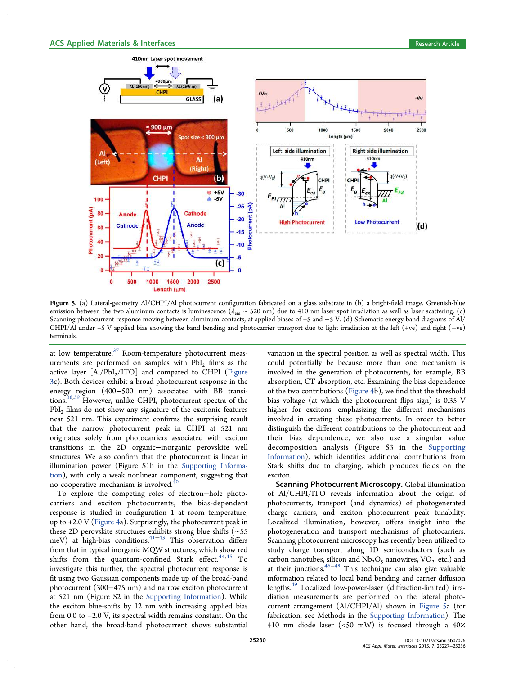

Figure 5. (a) Lateral-geometry Al/CHPI/Al photocurrent configuration fabricated on a glass substrate in (b) a bright-field image. Greenish-blue emission between the two aluminum contacts is luminescence ( $\lambda_{em}$  ~ 520 nm) due to 410 nm laser spot irradiation as well as laser scattering. (c) Scanning photocurrent response moving between aluminum contacts, at applied biases of +5 and −5 V. (d) Schematic energy band diagrams of Al/ CHPI/Al under +5 V applied bias showing the band bending and photocarrier transport due to light irradiation at the left (+ve) and right (−ve) terminals.

at low temperature.<sup>37</sup> Room-temperature photocurrent measurements are performed on samples with  $PbI<sub>2</sub>$  films as the active layer  $[A1/PbI_2/ITO]$  and compared to CHPI (Figure 3c). Both devices exhibit a broad photocurrent response in the energy region (400−500 nm) associated with BB transitions.<sup>38,39</sup> However, unlike CHPI, photocurrent spectra of the PbI<sub>2</sub> films do not show any signature of the excitonic features near 521 nm. This experiment confirms the surprising result that the narrow photocurrent peak in CHPI at 521 nm originates solely from photocarriers associated with exciton transitions in the 2D organic−inorganic perovskite well structures. We also confirm that the photocurrent is linear in illumination power (Figure S1b in the Supporting Information), with only a weak nonlinear component, suggesting that no cooperative mechanism is involved. $40$ 

To explore the competing roles of electron−hole photocarriers and exciton photocurrents, the bias-dependent response is studied in configuration 1 at room temperature, up to  $+2.0$  V (Figure 4a). Surprisingly, the photocurrent peak in these 2D perovskite structures exhibits strong blue shifts (∼55 meV) at high-bias conditions.<sup>41-43</sup> This observation differs from that in typical inorganic MQW structures, which show red shifts from the quantum-confined Stark effect. $44,45$  To investigate this further, the spectral photocurrent response is fit using two Gaussian components made up of the broad-band photocurrent (300−475 nm) and narrow exciton photocurrent at 521 nm (Figure S2 in the Supporting Information). While the exciton blue-shifts by 12 nm with increasing applied bias from 0.0 to +2.0 V, its spectral width remains constant. On the other hand, the broad-band photocurrent shows substantial

variation in the spectral position as well as spectral width. This could potentially be because more than one mechanism is involved in the generation of photocurrents, for example, BB absorption, CT absorption, etc. Examining the bias dependence of the two contributions (Figure 4b), we find that the threshold bias voltage (at which the photocurrent flips sign) is 0.35 V higher for excitons, emphasizing the different mechanisms involved in creating these photocurrents. In order to better distinguish the different contributions to the photocurrent and their bias dependence, we also use a singular value decomposition analysis (Figure S3 in the Supporting Information), which identifies additional contributions from Stark shifts due to charging, which produces fields on the exciton.

Scanning Photocurrent Microscopy. Global illumination of Al/CHPI/ITO reveals information about the origin of photocurrents, transport (and dynamics) of photogenerated charge carriers, and exciton photocurrent peak tunability. Localized illumination, however, offers insight into the photogeneration and transport mechanisms of photocarriers. Scanning photocurrent microscopy has recently been utilized to study charge transport along 1D semiconductors (such as carbon nanotubes, silicon and  $Nb<sub>2</sub>O<sub>5</sub>$  nanowires,  $VO<sub>2</sub>$ , etc.) and at their junctions.46−<sup>48</sup> This technique can also give valuable information related to local band bending and carrier diffusion lengths.<sup>49</sup> Localized low-power-laser (diffraction-limited) irradiation measurements are performed on the lateral photocurrent arrangement (Al/CHPI/Al) shown in Figure 5a (for fabrication, see Methods in the Supporting Information). The 410 nm diode laser (<50 mW) is focused through a 40×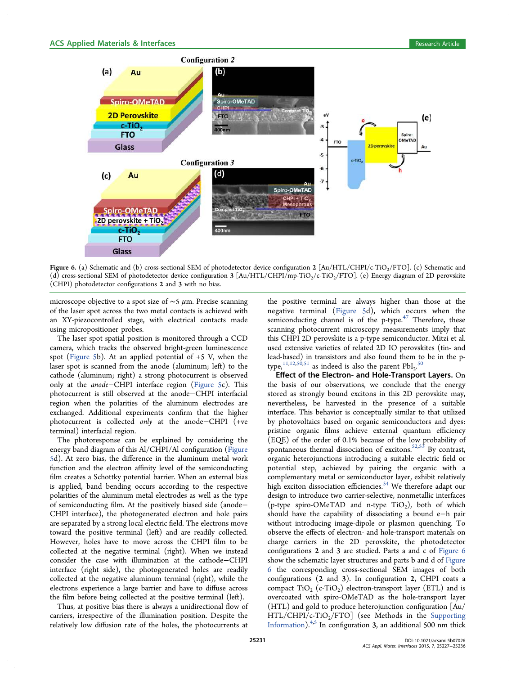

Figure 6. (a) Schematic and (b) cross-sectional SEM of photodetector device configuration 2 [Au/HTL/CHPI/c-TiO<sub>2</sub>/FTO]. (c) Schematic and (d) cross-sectional SEM of photodetector device configuration  $3$  [Au/HTL/CHPI/mp-TiO<sub>2</sub>/c-TiO<sub>2</sub>/FTO]. (e) Energy diagram of 2D perovskite (CHPI) photodetector configurations 2 and 3 with no bias.

microscope objective to a spot size of  $\sim$ 5  $\mu$ m. Precise scanning of the laser spot across the two metal contacts is achieved with an XY-piezocontrolled stage, with electrical contacts made using micropositioner probes.

The laser spot spatial position is monitored through a CCD camera, which tracks the observed bright-green luminescence spot (Figure 5b). At an applied potential of  $+5$  V, when the laser spot is scanned from the anode (aluminum; left) to the cathode (aluminum; right) a strong photocurrent is observed only at the *anode*−CHPI interface region (Figure 5c). This photocurrent is still observed at the anode−CHPI interfacial region when the polarities of the aluminum electrodes are exchanged. Additional experiments confirm that the higher photocurrent is collected *only* at the anode−CHPI (+ve terminal) interfacial region.

The photoresponse can be explained by considering the energy band diagram of this Al/CHPI/Al configuration (Figure 5d). At zero bias, the difference in the aluminum metal work function and the electron affinity level of the semiconducting film creates a Schottky potential barrier. When an external bias is applied, band bending occurs according to the respective polarities of the aluminum metal electrodes as well as the type of semiconducting film. At the positively biased side (anode− CHPI interface), the photogenerated electron and hole pairs are separated by a strong local electric field. The electrons move toward the positive terminal (left) and are readily collected. However, holes have to move across the CHPI film to be collected at the negative terminal (right). When we instead consider the case with illumination at the cathode−CHPI interface (right side), the photogenerated holes are readily collected at the negative aluminum terminal (right), while the electrons experience a large barrier and have to diffuse across the film before being collected at the positive terminal (left).

Thus, at positive bias there is always a unidirectional flow of carriers, irrespective of the illumination position. Despite the relatively low diffusion rate of the holes, the photocurrents at

the positive terminal are always higher than those at the negative terminal (Figure 5d), which occurs when the semiconducting channel is of the p-type. $47$  Therefore, these scanning photocurrent microscopy measurements imply that this CHPI 2D perovskite is a p-type semiconductor. Mitzi et al. used extensive varieties of related 2D IO perovskites (tin- and lead-based) in transistors and also found them to be in the ptype,  $11,12,50,51$  as indeed is also the parent  $\mathrm{PbI}_{2}$ .<sup>50</sup> .

Effect of the Electron- and Hole-Transport Layers. On the basis of our observations, we conclude that the energy stored as strongly bound excitons in this 2D perovskite may, nevertheless, be harvested in the presence of a suitable interface. This behavior is conceptually similar to that utilized by photovoltaics based on organic semiconductors and dyes: pristine organic films achieve external quantum efficiency (EQE) of the order of 0.1% because of the low probability of spontaneous thermal dissociation of excitons.<sup>52,53</sup> By contrast, organic heterojunctions introducing a suitable electric field or potential step, achieved by pairing the organic with a complementary metal or semiconductor layer, exhibit relatively high exciton dissociation efficiencies.<sup>54</sup> We therefore adapt our design to introduce two carrier-selective, nonmetallic interfaces (p-type spiro-OMeTAD and n-type  $TiO<sub>2</sub>$ ), both of which should have the capability of dissociating a bound e−h pair without introducing image-dipole or plasmon quenching. To observe the effects of electron- and hole-transport materials on charge carriers in the 2D perovskite, the photodetector configurations 2 and 3 are studied. Parts a and c of Figure 6 show the schematic layer structures and parts b and d of Figure 6 the corresponding cross-sectional SEM images of both configurations (2 and 3). In configuration 2, CHPI coats a compact  $\text{TiO}_2$  (c-TiO<sub>2</sub>) electron-transport layer (ETL) and is overcoated with spiro-OMeTAD as the hole-transport layer (HTL) and gold to produce heterojunction configuration [Au/  $HTL/CHPI/c-TiO<sub>2</sub>/FTO$ ] (see Methods in the Supporting Information).<sup>4,5</sup> In configuration 3, an additional 500 nm thick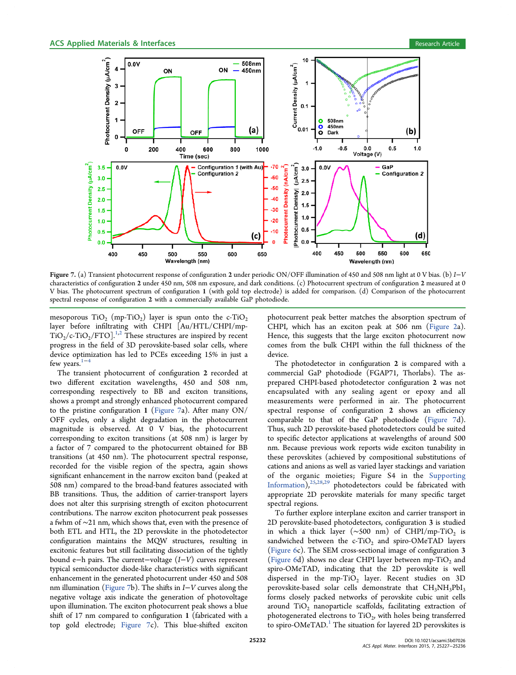

Figure 7. (a) Transient photocurrent response of configuration 2 under periodic ON/OFF illumination of 450 and 508 nm light at 0 V bias. (b) *I*−*V* characteristics of configuration 2 under 450 nm, 508 nm exposure, and dark conditions. (c) Photocurrent spectrum of configuration 2 measured at 0 V bias. The photocurrent spectrum of configuration 1 (with gold top electrode) is added for comparison. (d) Comparison of the photocurrent spectral response of configuration 2 with a commercially available GaP photodiode.

mesoporous  $\text{TiO}_2$   $(\text{mp-TiO}_2)$  layer is spun onto the c-TiO<sub>2</sub> layer before infiltrating with CHPI [Au/HTL/CHPI/mp- $TiO<sub>2</sub>/c-TiO<sub>2</sub>/FTO$ <sup>1,2</sup> These structures are inspired by recent progress in the field of 3D perovskite-based solar cells, where device optimization has led to PCEs exceeding 15% in just a few years.<sup>1−4</sup>

The transient photocurrent of configuration 2 recorded at two different excitation wavelengths, 450 and 508 nm, corresponding respectively to BB and exciton transitions, shows a prompt and strongly enhanced photocurrent compared to the pristine configuration 1 (Figure 7a). After many  $ON/$ OFF cycles, only a slight degradation in the photocurrent magnitude is observed. At 0 V bias, the photocurrent corresponding to exciton transitions (at 508 nm) is larger by a factor of 7 compared to the photocurrent obtained for BB transitions (at 450 nm). The photocurrent spectral response, recorded for the visible region of the spectra, again shows significant enhancement in the narrow exciton band (peaked at 508 nm) compared to the broad-band features associated with BB transitions. Thus, the addition of carrier-transport layers does not alter this surprising strength of exciton photocurrent contributions. The narrow exciton photocurrent peak possesses a fwhm of ∼21 nm, which shows that, even with the presence of both ETL and HTL, the 2D perovskite in the photodetector configuration maintains the MQW structures, resulting in excitonic features but still facilitating dissociation of the tightly bound e−h pairs. The current−voltage (*I*−*V*) curves represent typical semiconductor diode-like characteristics with significant enhancement in the generated photocurrent under 450 and 508 nm illumination (Figure 7b). The shifts in *I*−*V* curves along the negative voltage axis indicate the generation of photovoltage upon illumination. The exciton photocurrent peak shows a blue shift of 17 nm compared to configuration 1 (fabricated with a top gold electrode; Figure 7c). This blue-shifted exciton

photocurrent peak better matches the absorption spectrum of CHPI, which has an exciton peak at 506 nm (Figure 2a). Hence, this suggests that the large exciton photocurrent now comes from the bulk CHPI within the full thickness of the device.

The photodetector in configuration 2 is compared with a commercial GaP photodiode (FGAP71, Thorlabs). The asprepared CHPI-based photodetector configuration 2 was not encapsulated with any sealing agent or epoxy and all measurements were performed in air. The photocurrent spectral response of configuration 2 shows an efficiency comparable to that of the GaP photodiode (Figure 7d). Thus, such 2D perovskite-based photodetectors could be suited to specific detector applications at wavelengths of around 500 nm. Because previous work reports wide exciton tunability in these perovskites (achieved by compositional substitutions of cations and anions as well as varied layer stackings and variation of the organic moieties; Figure S4 in the Supporting Information),25,28,29 photodetectors could be fabricated with appropriate 2D perovskite materials for many specific target spectral regions.

To further explore interplane exciton and carrier transport in 2D perovskite-based photodetectors, configuration 3 is studied in which a thick layer ( $\sim$ 500 nm) of CHPI/mp-TiO<sub>2</sub> is sandwiched between the c-TiO<sub>2</sub> and spiro-OMeTAD layers (Figure 6c). The SEM cross-sectional image of configuration 3 (Figure 6d) shows no clear CHPI layer between mp-TiO<sub>2</sub> and spiro-OMeTAD, indicating that the 2D perovskite is well dispersed in the  $mp-TiO<sub>2</sub>$  layer. Recent studies on 3D perovskite-based solar cells demonstrate that  $CH<sub>3</sub>NH<sub>3</sub>PbI<sub>3</sub>$ forms closely packed networks of perovskite cubic unit cells around  $TiO<sub>2</sub>$  nanoparticle scaffolds, facilitating extraction of photogenerated electrons to  $\text{TiO}_2$ , with holes being transferred to spiro-OMeTAD. $^1$  The situation for layered 2D perovskites is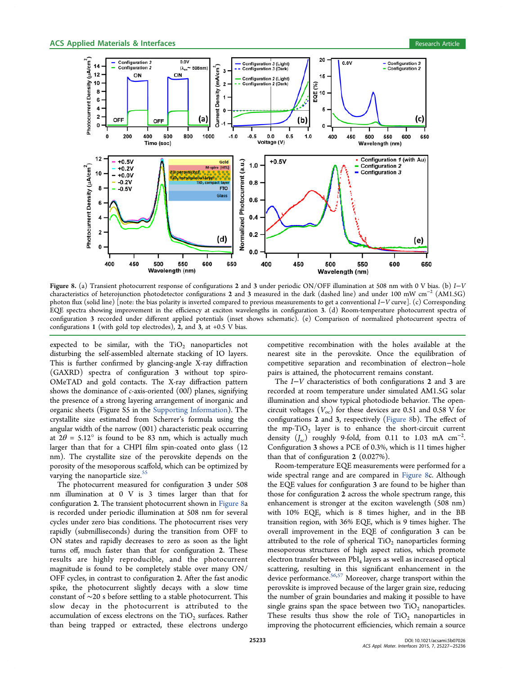

Figure 8. (a) Transient photocurrent response of configurations 2 and 3 under periodic ON/OFF illumination at 508 nm with 0 V bias. (b) *I*−*V* characteristics of heterojunction photodetector configurations 2 and 3 measured in the dark (dashed line) and under 100 mW cm<sup>−</sup><sup>2</sup> (AM1.5G) photon flux (solid line) [note: the bias polarity is inverted compared to previous measurements to get a conventional *I*−*V* curve]. (c) Corresponding EQE spectra showing improvement in the efficiency at exciton wavelengths in configuration 3. (d) Room-temperature photocurrent spectra of configuration 3 recorded under different applied potentials (inset shows schematic). (e) Comparison of normalized photocurrent spectra of configurations 1 (with gold top electrodes), 2, and 3, at +0.5 V bias.

expected to be similar, with the  $TiO<sub>2</sub>$  nanoparticles not disturbing the self-assembled alternate stacking of IO layers. This is further confirmed by glancing-angle X-ray diffraction (GAXRD) spectra of configuration 3 without top spiro-OMeTAD and gold contacts. The X-ray diffraction pattern shows the dominance of *c*-axis-oriented (00*l*) planes, signifying the presence of a strong layering arrangement of inorganic and organic sheets (Figure S5 in the Supporting Information). The crystallite size estimated from Scherrer's formula using the angular width of the narrow (001) characteristic peak occurring at  $2\theta = 5.12^{\circ}$  is found to be 83 nm, which is actually much larger than that for a CHPI film spin-coated onto glass (12 nm). The crystallite size of the perovskite depends on the porosity of the mesoporous scaffold, which can be optimized by varying the nanoparticle size.<sup>55</sup>

The photocurrent measured for configuration 3 under 508 nm illumination at 0 V is 3 times larger than that for configuration 2. The transient photocurrent shown in Figure 8a is recorded under periodic illumination at 508 nm for several cycles under zero bias conditions. The photocurrent rises very rapidly (submilliseconds) during the transition from OFF to ON states and rapidly decreases to zero as soon as the light turns off, much faster than that for configuration 2. These results are highly reproducible, and the photocurrent magnitude is found to be completely stable over many ON/ OFF cycles, in contrast to configuration 2. After the fast anodic spike, the photocurrent slightly decays with a slow time constant of ∼20 s before settling to a stable photocurrent. This slow decay in the photocurrent is attributed to the accumulation of excess electrons on the  $\rm TiO_2$  surfaces. Rather than being trapped or extracted, these electrons undergo

competitive recombination with the holes available at the nearest site in the perovskite. Once the equilibration of competitive separation and recombination of electron−hole pairs is attained, the photocurrent remains constant.

The *I*−*V* characteristics of both configurations 2 and 3 are recorded at room temperature under simulated AM1.5G solar illumination and show typical photodiode behavior. The opencircuit voltages  $(V_{oc})$  for these devices are 0.51 and 0.58 V for configurations 2 and 3, respectively (Figure 8b). The effect of the  $mp-TiO<sub>2</sub>$  layer is to enhance the short-circuit current density  $(J_{\rm sc})$  roughly 9-fold, from 0.11 to 1.03 mA cm<sup>-2</sup>. . Configuration 3 shows a PCE of 0.3%, which is 11 times higher than that of configuration 2 (0.027%).

Room-temperature EQE measurements were performed for a wide spectral range and are compared in Figure 8c. Although the EQE values for configuration 3 are found to be higher than those for configuration 2 across the whole spectrum range, this enhancement is stronger at the exciton wavelength (508 nm) with 10% EQE, which is 8 times higher, and in the BB transition region, with 36% EQE, which is 9 times higher. The overall improvement in the EQE of configuration 3 can be attributed to the role of spherical  $TiO<sub>2</sub>$  nanoparticles forming mesoporous structures of high aspect ratios, which promote electron transfer between PbI<sub>4</sub> layers as well as increased optical scattering, resulting in this significant enhancement in the device performance.56,57 Moreover, charge transport within the perovskite is improved because of the larger grain size, reducing the number of grain boundaries and making it possible to have single grains span the space between two  $TiO<sub>2</sub>$  nanoparticles. These results thus show the role of  $TiO<sub>2</sub>$  nanoparticles in improving the photocurrent efficiencies, which remain a source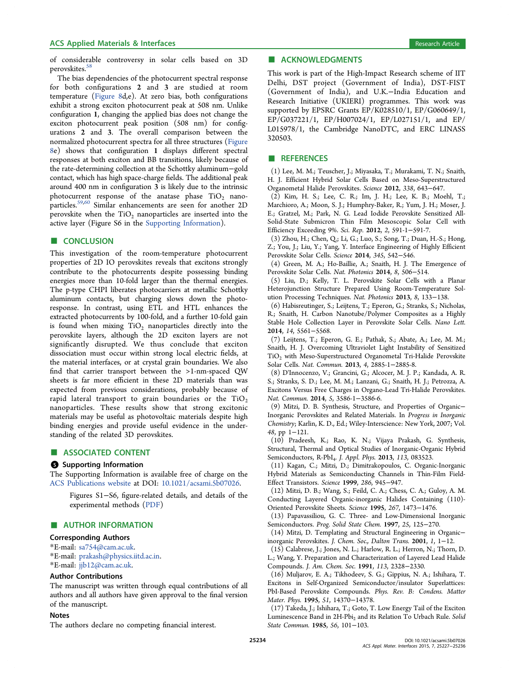#### ACS Applied Materials & Interfaces **Research Article** Research Article **Research Article**

of considerable controversy in solar cells based on 3D perovskites.<sup>58</sup>

The bias dependencies of the photocurrent spectral response for both configurations 2 and 3 are studied at room temperature (Figure 8d,e). At zero bias, both configurations exhibit a strong exciton photocurrent peak at 508 nm. Unlike configuration 1, changing the applied bias does not change the exciton photocurrent peak position (508 nm) for configurations 2 and 3. The overall comparison between the normalized photocurrent spectra for all three structures (Figure 8e) shows that configuration 1 displays different spectral responses at both exciton and BB transitions, likely because of the rate-determining collection at the Schottky aluminum−gold contact, which has high space-charge fields. The additional peak around 400 nm in configuration 3 is likely due to the intrinsic photocurrent response of the anatase phase  $TiO<sub>2</sub>$  nanoparticles.59,60 Similar enhancements are seen for another 2D perovskite when the  $TiO<sub>2</sub>$  nanoparticles are inserted into the active layer (Figure S6 in the Supporting Information).

## ■ CONCLUSION

This investigation of the room-temperature photocurrent properties of 2D IO perovskites reveals that excitons strongly contribute to the photocurrents despite possessing binding energies more than 10-fold larger than the thermal energies. The p-type CHPI liberates photocarriers at metallic Schottky aluminum contacts, but charging slows down the photoresponse. In contrast, using ETL and HTL enhances the extracted photocurrents by 100-fold, and a further 10-fold gain is found when mixing TiO<sub>2</sub> nanoparticles directly into the perovskite layers, although the 2D exciton layers are not significantly disrupted. We thus conclude that exciton dissociation must occur within strong local electric fields, at the material interfaces, or at crystal grain boundaries. We also find that carrier transport between the >1-nm-spaced QW sheets is far more efficient in these 2D materials than was expected from previous considerations, probably because of rapid lateral transport to grain boundaries or the  $TiO<sub>2</sub>$ nanoparticles. These results show that strong excitonic materials may be useful as photovoltaic materials despite high binding energies and provide useful evidence in the understanding of the related 3D perovskites.

#### ■ ASSOCIATED CONTENT

#### **S** Supporting Information

The Supporting Information is available free of charge on the ACS Publications website at DOI: 10.1021/acsami.5b07026.

Figures S1−S6, figure-related details, and details of the experimental methods (PDF)

#### ■ AUTHOR INFORMATION

#### Corresponding Authors

\*E-mail: sa754@cam.ac.uk.

\*E-mail: prakash@physics.iitd.ac.in.

\*E-mail: jjb12@cam.ac.uk.

#### Author Contributions

The manuscript was written through equal contributions of all authors and all authors have given approval to the final version of the manuscript.

#### Notes

The authors declare no competing financial interest.

# ■ ACKNOWLEDGMENTS

This work is part of the High-Impact Research scheme of IIT Delhi, DST project (Government of India), DST-FIST (Government of India), and U.K.−India Education and Research Initiative (UKIERI) programmes. This work was supported by EPSRC Grants EP/K028510/1, EP/G060649/1, EP/G037221/1, EP/H007024/1, EP/L027151/1, and EP/ L015978/1, the Cambridge NanoDTC, and ERC LINASS 320503.

#### ■ REFERENCES

(1) Lee, M. M.; Teuscher, J.; Miyasaka, T.; Murakami, T. N.; Snaith, H. J. Efficient Hybrid Solar Cells Based on Meso-Superstructured Organometal Halide Perovskites. *Science* 2012, *338*, 643−647.

(2) Kim, H. S.; Lee, C. R.; Im, J. H.; Lee, K. B.; Moehl, T.; Marchioro, A.; Moon, S. J.; Humphry-Baker, R.; Yum, J. H.; Moser, J. E.; Gratzel, M.; Park, N. G. Lead Iodide Perovskite Sensitized All-Solid-State Submicron Thin Film Mesoscopic Solar Cell with Efficiency Exceeding 9%. *Sci. Rep.* 2012, *2*, 591-1−591-7.

(3) Zhou, H.; Chen, Q.; Li, G.; Luo, S.; Song, T.; Duan, H.-S.; Hong, Z.; You, J.; Liu, Y.; Yang, Y. Interface Engineering of Highly Efficient Perovskite Solar Cells. *Science* 2014, *345*, 542−546.

(4) Green, M. A.; Ho-Baillie, A.; Snaith, H. J. The Emergence of Perovskite Solar Cells. *Nat. Photonics* 2014, *8*, 506−514.

(5) Liu, D.; Kelly, T. L. Perovskite Solar Cells with a Planar Heterojunction Structure Prepared Using Room-Temperature Solution Processing Techniques. *Nat. Photonics* 2013, *8*, 133−138.

(6) Habisreutinger, S.; Leijtens, T.; Eperon, G.; Stranks, S.; Nicholas, R.; Snaith, H. Carbon Nanotube/Polymer Composites as a Highly Stable Hole Collection Layer in Perovskite Solar Cells. *Nano Lett.* 2014, *14*, 5561−5568.

(7) Leijtens, T.; Eperon, G. E.; Pathak, S.; Abate, A.; Lee, M. M.; Snaith, H. J. Overcoming Ultraviolet Light Instability of Sensitized TiO<sub>2</sub> with Meso-Superstructured Organometal Tri-Halide Perovskite Solar Cells. *Nat. Commun.* 2013, *4*, 2885-1−2885-8.

(8) D'Innocenzo, V.; Grancini, G.; Alcocer, M. J. P.; Kandada, A. R. S.; Stranks, S. D.; Lee, M. M.; Lanzani, G.; Snaith, H. J.; Petrozza, A. Excitons Versus Free Charges in Organo-Lead Tri-Halide Perovskites. *Nat. Commun.* 2014, *5*, 3586-1−3586-6.

(9) Mitzi, D. B. Synthesis, Structure, and Properties of Organic− Inorganic Perovskites and Related Materials. In *Progress in Inorganic Chemistry*; Karlin, K. D., Ed.; Wiley-Interscience: New York, 2007; Vol. *48*, pp 1−121.

(10) Pradeesh, K.; Rao, K. N.; Vijaya Prakash, G. Synthesis, Structural, Thermal and Optical Studies of Inorganic-Organic Hybrid Semiconductors, R-PbI<sub>4</sub>. *J. Appl. Phys.* **2013**, 113, 083523.

(11) Kagan, C.; Mitzi, D.; Dimitrakopoulos, C. Organic-Inorganic Hybrid Materials as Semiconducting Channels in Thin-Film Field-Effect Transistors. *Science* 1999, *286*, 945−947.

(12) Mitzi, D. B.; Wang, S.; Feild, C. A.; Chess, C. A.; Guloy, A. M. Conducting Layered Organic-inorganic Halides Containing (110)- Oriented Perovskite Sheets. *Science* 1995, *267*, 1473−1476.

(13) Papavassiliou, G. C. Three- and Low-Dimensional Inorganic Semiconductors. *Prog. Solid State Chem.* 1997, *25*, 125−270.

(14) Mitzi, D. Templating and Structural Engineering in Organic− inorganic Perovskites. *J. Chem. Soc., Dalton Trans.* 2001, *1*, 1−12.

(15) Calabrese, J.; Jones, N. L.; Harlow, R. L.; Herron, N.; Thorn, D. L.; Wang, Y. Preparation and Characterization of Layered Lead Halide Compounds. *J. Am. Chem. Soc.* 1991, *113*, 2328−2330.

(16) Muljarov, E. A.; Tikhodeev, S. G.; Gippius, N. A.; Ishihara, T. Excitons in Self-Organized Semiconductor/insulator Superlattices: PbI-Based Perovskite Compounds. *Phys. Rev. B: Condens. Matter Mater. Phys.* 1995, *51*, 14370−14378.

(17) Takeda, J.; Ishihara, T.; Goto, T. Low Energy Tail of the Exciton Luminescence Band in 2H-Pbi<sub>2</sub> and its Relation To Urbach Rule. Solid *State Commun.* 1985, *56*, 101−103.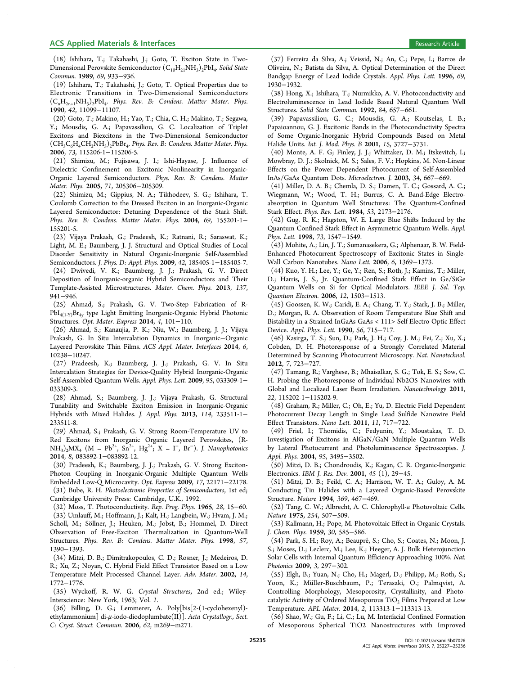#### ACS Applied Materials & Interfaces **Research Article** 8 and 2011 **Research Article** Research Article

(19) Ishihara, T.; Takahashi, J.; Goto, T. Optical Properties due to Electronic Transitions in Two-Dimensional Semiconductors  $(C<sub>n</sub>H<sub>2n+1</sub>NH<sub>3</sub>)<sub>2</sub>PbI<sub>4</sub>$ . *Phys. Rev. B: Condens. Matter Mater. Phys.* 1990, *42*, 11099−11107.

(20) Goto, T.; Makino, H.; Yao, T.; Chia, C. H.; Makino, T.; Segawa, Y.; Mousdis, G. A.; Papavassiliou, G. C. Localization of Triplet Excitons and Biexcitons in the Two-Dimensional Semiconductor  $(\text{CH}_3\text{C}_6\text{H}_4\text{CH}_2\text{NH}_3)_2\text{PbBr}_4$ . *Phys. Rev. B: Condens. Matter Mater. Phys.* 2006, *73*, 115206-1−115206-5.

(21) Shimizu, M.; Fujisawa, J. I.; Ishi-Hayase, J. Influence of Dielectric Confinement on Excitonic Nonlinearity in Inorganic-Organic Layered Semiconductors. *Phys. Rev. B: Condens. Matter Mater. Phys.* 2005, *71*, 205306−205309.

(22) Shimizu, M.; Gippius, N. A.; Tikhodeev, S. G.; Ishihara, T. Coulomb Correction to the Dressed Exciton in an Inorganic-Organic Layered Semiconductor: Detuning Dependence of the Stark Shift. *Phys. Rev. B: Condens. Matter Mater. Phys.* 2004, *69*, 155201-1− 155201-5.

(23) Vijaya Prakash, G.; Pradeesh, K.; Ratnani, R.; Saraswat, K.; Light, M. E.; Baumberg, J. J. Structural and Optical Studies of Local Disorder Sensitivity in Natural Organic-Inorganic Self-Assembled Semiconductors. *J. Phys. D: Appl. Phys.* 2009, *42*, 185405-1−185405-7. (24) Dwivedi, V. K.; Baumberg, J. J.; Prakash, G. V. Direct Deposition of Inorganic-organic Hybrid Semiconductors and Their Template-Assisted Microstructures. *Mater. Chem. Phys.* 2013, *137*, 941−946.

(25) Ahmad, S.; Prakash, G. V. Two-Step Fabrication of R-PbI4(1‑Y)Br4y type Light Emitting Inorganic-Organic Hybrid Photonic Structures. *Opt. Mater. Express* 2014, *4*, 101−110.

(26) Ahmad, S.; Kanaujia, P. K.; Niu, W.; Baumberg, J. J.; Vijaya Prakash, G. In Situ Intercalation Dynamics in Inorganic−Organic Layered Perovskite Thin Films. *ACS Appl. Mater. Interfaces* 2014, *6*, 10238−10247.

(27) Pradeesh, K.; Baumberg, J. J.; Prakash, G. V. In Situ Intercalation Strategies for Device-Quality Hybrid Inorganic-Organic Self-Assembled Quantum Wells. *Appl. Phys. Lett.* 2009, *95*, 033309-1− 033309-3.

(28) Ahmad, S.; Baumberg, J. J.; Vijaya Prakash, G. Structural Tunability and Switchable Exciton Emission in Inorganic-Organic Hybrids with Mixed Halides. *J. Appl. Phys.* 2013, *114*, 233511-1− 233511-8.

(29) Ahmad, S.; Prakash, G. V. Strong Room-Temperature UV to Red Excitons from Inorganic Organic Layered Perovskites, (R- $NH<sub>3</sub>)<sub>2</sub>MX<sub>4</sub>$  (M = Pb<sup>2+</sup>, Sn<sup>2+</sup>, Hg<sup>2+</sup>; X = I<sup>-</sup>, Br<sup>-</sup>). *J. Nanophotonics* 2014, *8*, 083892-1−083892-12.

(30) Pradeesh, K.; Baumberg, J. J.; Prakash, G. V. Strong Exciton-Photon Coupling in Inorganic-Organic Multiple Quantum Wells Embedded Low-Q Microcavity. *Opt. Express* 2009, *17*, 22171−22178.

(31) Bube, R. H. *Photoelectronic Properties of Semiconductors*, 1st ed; Cambridge University Press: Cambridge, U.K., 1992.

(32) Moss, T. Photoconductivity. *Rep. Prog. Phys.* 1965, *28*, 15−60. (33) Umlauff, M.; Hoffmann, J.; Kalt, H.; Langbein, W.; Hvam, J. M.; Scholl, M.; Söllner, J.; Heuken, M.; Jobst, B.; Hommel, D. Direct Observation of Free-Exciton Thermalization in Quantum-Well Structures. *Phys. Rev. B: Condens. Matter Mater. Phys.* 1998, *57*, 1390−1393.

(34) Mitzi, D. B.; Dimitrakopoulos, C. D.; Rosner, J.; Medeiros, D. R.; Xu, Z.; Noyan, C. Hybrid Field Effect Transistor Based on a Low Temperature Melt Processed Channel Layer. *Adv. Mater.* 2002, *14*, 1772−1776.

(35) Wyckoff, R. W. G. *Crystal Structures*, 2nd ed.; Wiley-Interscience: New York, 1963; Vol. *1*.

(36) Billing, D. G.; Lemmerer, A. Poly[bis[2-(1-cyclohexenyl) ethylammonium] di-μ-iodo-diodoplumbate(II)]. *Acta Crystallogr., Sect. C: Cryst. Struct. Commun.* 2006, *62*, m269−m271.

(37) Ferreira da Silva, A.; Veissid, N.; An, C.; Pepe, I.; Barros de Oliveira, N.; Batista da Silva, A. Optical Determination of the Direct Bandgap Energy of Lead Iodide Crystals. *Appl. Phys. Lett.* 1996, *69*, 1930−1932.

(38) Hong, X.; Ishihara, T.; Nurmikko, A. V. Photoconductivity and Electroluminescence in Lead Iodide Based Natural Quantum Well Structures. *Solid State Commun.* 1992, *84*, 657−661.

(39) Papavassiliou, G. C.; Mousdis, G. A.; Koutselas, I. B.; Papaioannou, G. J. Excitonic Bands in the Photoconductivity Spectra of Some Organic-Inorganic Hybrid Compounds Based on Metal Halide Units. *Int. J. Mod. Phys. B* 2001, *15*, 3727−3731.

(40) Monte, A. F. G; Finley, J. J.; Whittaker, D. M.; Itskevitch, I.; Mowbray, D. J.; Skolnick, M. S.; Sales, F. V.; Hopkins, M. Non-Linear Effects on the Power Dependent Photocurrent of Self-Assembled InAs/GaAs Quantum Dots. *Microelectron. J.* 2003, *34*, 667−669.

(41) Miller, D. A. B.; Chemla, D. S.; Damen, T. C.; Gossard, A. C.; Wiegmann, W.; Wood, T. H.; Burrus, C. A. Band-Edge Electroabsorption in Quantum Well Structures: The Quantum-Confined Stark Effect. *Phys. Rev. Lett.* 1984, *53*, 2173−2176.

(42) Gug, R. K.; Hagston, W. E. Large Blue Shifts Induced by the Quantum Confined Stark Effect in Asymmetric Quantum Wells. *Appl. Phys. Lett.* 1998, *73*, 1547−1549.

(43) Mohite, A.; Lin, J. T.; Sumanasekera, G.; Alphenaar, B. W. Field-Enhanced Photocurrent Spectroscopy of Excitonic States in Single-Wall Carbon Nanotubes. *Nano Lett.* 2006, *6*, 1369−1373.

(44) Kuo, Y. H.; Lee, Y.; Ge, Y.; Ren, S.; Roth, J.; Kamins, T.; Miller, D.; Harris, J. S., Jr. Quantum-Confined Stark Effect in Ge/SiGe Quantum Wells on Si for Optical Modulators. *IEEE J. Sel. Top. Quantum Electron.* 2006, *12*, 1503−1513.

(45) Goossen, K. W.; Caridi, E. A.; Chang, T. Y.; Stark, J. B.; Miller, D.; Morgan, R. A. Observation of Room Temperature Blue Shift and Bistability in a Strained InGaAs GaAs < 111> Self Electro Optic Effect Device. *Appl. Phys. Lett.* 1990, *56*, 715−717.

(46) Kasirga, T. S.; Sun, D.; Park, J. H.; Coy, J. M.; Fei, Z.; Xu, X.; Cobden, D. H. Photoresponse of a Strongly Correlated Material Determined by Scanning Photocurrent Microscopy. *Nat. Nanotechnol.* 2012, *7*, 723−727.

(47) Tamang, R.; Varghese, B.; Mhaisalkar, S. G.; Tok, E. S.; Sow, C. H. Probing the Photoresponse of Individual Nb2O5 Nanowires with Global and Localized Laser Beam Irradiation. *Nanotechnology* 2011, *22*, 115202-1−115202-9.

(48) Graham, R.; Miller, C.; Oh, E.; Yu, D. Electric Field Dependent Photocurrent Decay Length in Single Lead Sulfide Nanowire Field Effect Transistors. *Nano Lett.* 2011, *11*, 717−722.

(49) Friel, I.; Thomidis, C.; Fedyunin, Y.; Moustakas, T. D. Investigation of Excitons in AlGaN/GaN Multiple Quantum Wells by Lateral Photocurrent and Photoluminescence Spectroscopies. *J. Appl. Phys.* 2004, *95*, 3495−3502.

(50) Mitzi, D. B.; Chondroudis, K.; Kagan, C. R. Organic-Inorganic Electronics. *IBM J. Res. Dev.* 2001, *45* (1), 29−45.

(51) Mitzi, D. B.; Feild, C. A.; Harrison, W. T. A.; Guloy, A. M. Conducting Tin Halides with a Layered Organic-Based Perovskite Structure. *Nature* 1994, *369*, 467−469.

(52) Tang, C. W.; Albrecht, A. C. Chlorophyll-*a* Photovoltaic Cells. *Nature* 1975, *254*, 507−509.

(53) Kallmann, H.; Pope, M. Photovoltaic Effect in Organic Crystals. *J. Chem. Phys.* 1959, *30*, 585−586.

(54) Park, S. H.; Roy, A.; Beaupré, S.; Cho, S.; Coates, N.; Moon, J. S.; Moses, D.; Leclerc, M.; Lee, K.; Heeger, A. J. Bulk Heterojunction Solar Cells with Internal Quantum Efficiency Approaching 100%. *Nat. Photonics* 2009, *3*, 297−302.

(55) Elgh, B.; Yuan, N.; Cho, H.; Magerl, D.; Philipp, M.; Roth, S.; Yoon, K.; Müller-Buschbaum, P.; Terasaki, O.; Palmqvist, A. Controlling Morphology, Mesoporosity, Crystallinity, and Photocatalytic Activity of Ordered Mesoporous  $TiO<sub>2</sub>$  Films Prepared at Low Temperature. *APL Mater.* 2014, *2*, 113313-1−113313-13.

(56) Shao, W.; Gu, F.; Li, C.; Lu, M. Interfacial Confined Formation of Mesoporous Spherical TiO2 Nanostructures with Improved